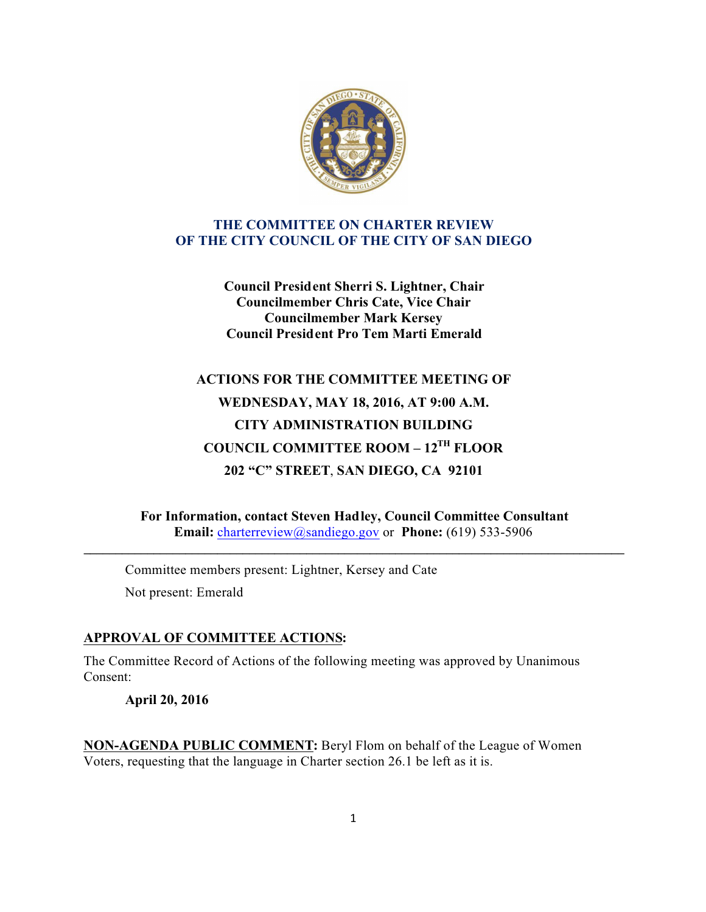

#### **THE COMMITTEE ON CHARTER REVIEW OF THE CITY COUNCIL OF THE CITY OF SAN DIEGO**

**Council President Sherri S. Lightner, Chair Councilmember Chris Cate, Vice Chair Councilmember Mark Kersey Council President Pro Tem Marti Emerald**

# **ACTIONS FOR THE COMMITTEE MEETING OF WEDNESDAY, MAY 18, 2016, AT 9:00 A.M. CITY ADMINISTRATION BUILDING COUNCIL COMMITTEE ROOM – 12TH FLOOR 202 "C" STREET**, **SAN DIEGO, CA 92101**

**For Information, contact Steven Hadley, Council Committee Consultant Email:** charterreview@sandiego.gov or **Phone:** (619) 533-5906

**\_\_\_\_\_\_\_\_\_\_\_\_\_\_\_\_\_\_\_\_\_\_\_\_\_\_\_\_\_\_\_\_\_\_\_\_\_\_\_\_\_\_\_\_\_\_\_\_\_\_\_\_\_\_\_\_\_\_\_\_\_\_\_\_\_\_\_\_\_\_\_\_\_\_\_\_\_\_\_\_\_\_\_\_\_**

Committee members present: Lightner, Kersey and Cate Not present: Emerald

## **APPROVAL OF COMMITTEE ACTIONS:**

The Committee Record of Actions of the following meeting was approved by Unanimous Consent:

**April 20, 2016**

**NON-AGENDA PUBLIC COMMENT:** Beryl Flom on behalf of the League of Women Voters, requesting that the language in Charter section 26.1 be left as it is.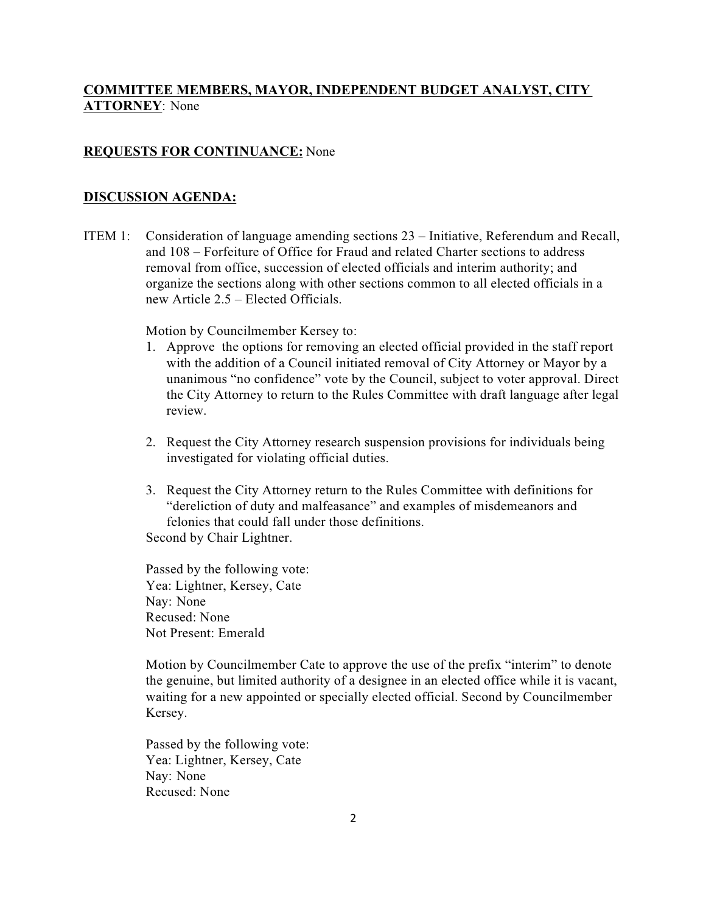## **COMMITTEE MEMBERS, MAYOR, INDEPENDENT BUDGET ANALYST, CITY ATTORNEY**: None

#### **REQUESTS FOR CONTINUANCE:** None

#### **DISCUSSION AGENDA:**

ITEM 1: Consideration of language amending sections 23 – Initiative, Referendum and Recall, and 108 – Forfeiture of Office for Fraud and related Charter sections to address removal from office, succession of elected officials and interim authority; and organize the sections along with other sections common to all elected officials in a new Article 2.5 – Elected Officials.

Motion by Councilmember Kersey to:

- 1. Approve the options for removing an elected official provided in the staff report with the addition of a Council initiated removal of City Attorney or Mayor by a unanimous "no confidence" vote by the Council, subject to voter approval. Direct the City Attorney to return to the Rules Committee with draft language after legal review.
- 2. Request the City Attorney research suspension provisions for individuals being investigated for violating official duties.
- 3. Request the City Attorney return to the Rules Committee with definitions for "dereliction of duty and malfeasance" and examples of misdemeanors and felonies that could fall under those definitions. Second by Chair Lightner.

Passed by the following vote: Yea: Lightner, Kersey, Cate Nay: None Recused: None Not Present: Emerald

Motion by Councilmember Cate to approve the use of the prefix "interim" to denote the genuine, but limited authority of a designee in an elected office while it is vacant, waiting for a new appointed or specially elected official. Second by Councilmember Kersey.

Passed by the following vote: Yea: Lightner, Kersey, Cate Nay: None Recused: None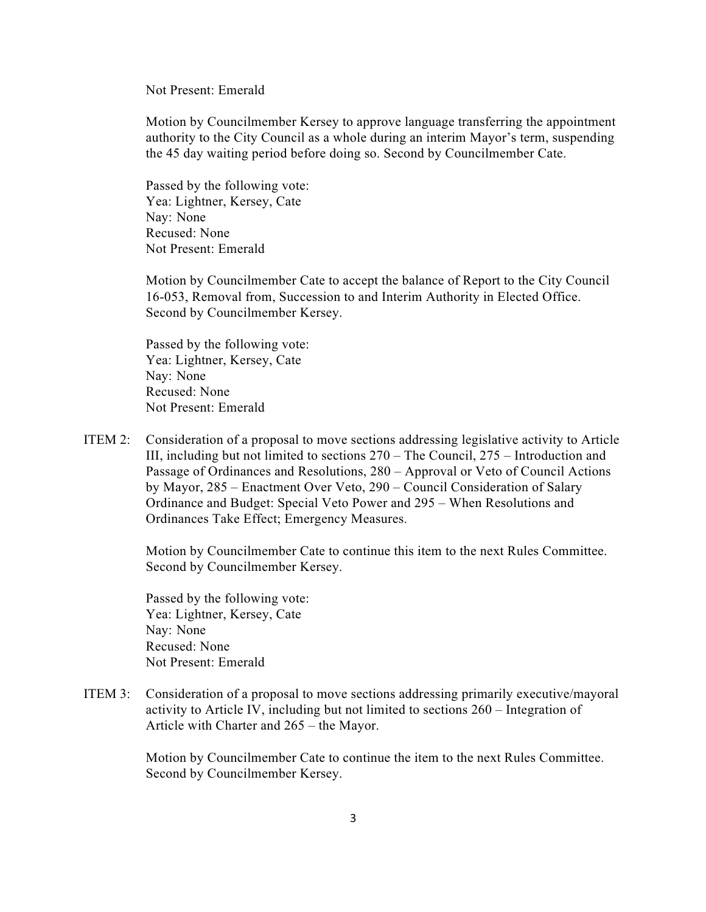Not Present: Emerald

Motion by Councilmember Kersey to approve language transferring the appointment authority to the City Council as a whole during an interim Mayor's term, suspending the 45 day waiting period before doing so. Second by Councilmember Cate.

Passed by the following vote: Yea: Lightner, Kersey, Cate Nay: None Recused: None Not Present: Emerald

Motion by Councilmember Cate to accept the balance of Report to the City Council 16-053, Removal from, Succession to and Interim Authority in Elected Office. Second by Councilmember Kersey.

Passed by the following vote: Yea: Lightner, Kersey, Cate Nay: None Recused: None Not Present: Emerald

ITEM 2: Consideration of a proposal to move sections addressing legislative activity to Article III, including but not limited to sections 270 – The Council, 275 – Introduction and Passage of Ordinances and Resolutions, 280 – Approval or Veto of Council Actions by Mayor, 285 – Enactment Over Veto, 290 – Council Consideration of Salary Ordinance and Budget: Special Veto Power and 295 – When Resolutions and Ordinances Take Effect; Emergency Measures.

> Motion by Councilmember Cate to continue this item to the next Rules Committee. Second by Councilmember Kersey.

Passed by the following vote: Yea: Lightner, Kersey, Cate Nay: None Recused: None Not Present: Emerald

ITEM 3: Consideration of a proposal to move sections addressing primarily executive/mayoral activity to Article IV, including but not limited to sections 260 – Integration of Article with Charter and 265 – the Mayor.

> Motion by Councilmember Cate to continue the item to the next Rules Committee. Second by Councilmember Kersey.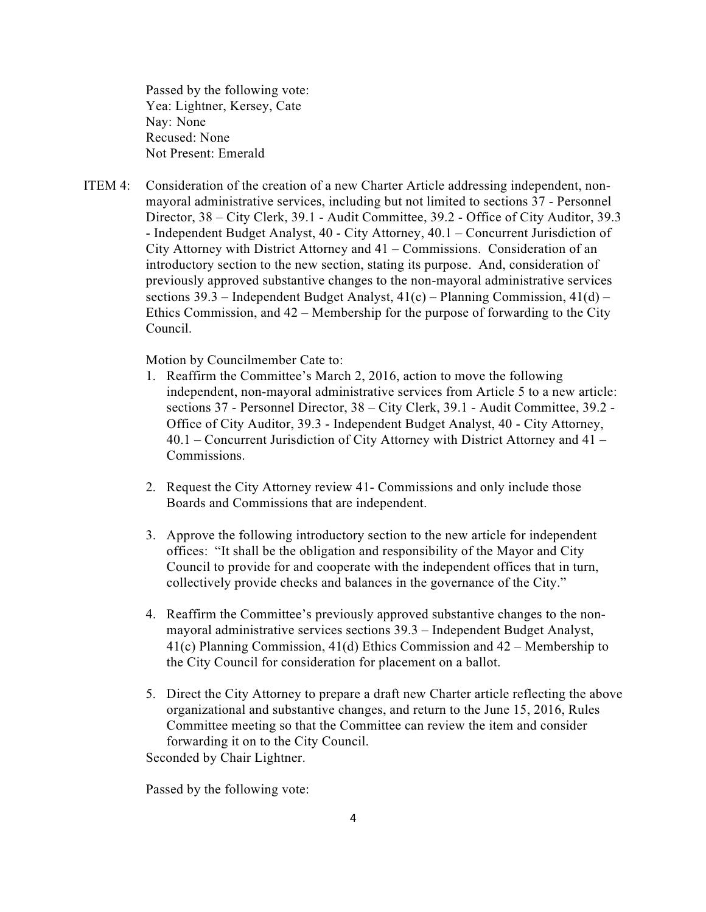Passed by the following vote: Yea: Lightner, Kersey, Cate Nay: None Recused: None Not Present: Emerald

ITEM 4: Consideration of the creation of a new Charter Article addressing independent, non mayoral administrative services, including but not limited to sections 37 - Personnel Director, 38 – City Clerk, 39.1 - Audit Committee, 39.2 - Office of City Auditor, 39.3 - Independent Budget Analyst, 40 - City Attorney, 40.1 – Concurrent Jurisdiction of City Attorney with District Attorney and 41 – Commissions. Consideration of an introductory section to the new section, stating its purpose. And, consideration of previously approved substantive changes to the non-mayoral administrative services sections 39.3 – Independent Budget Analyst,  $41(c)$  – Planning Commission,  $41(d)$  – Ethics Commission, and 42 – Membership for the purpose of forwarding to the City Council.

Motion by Councilmember Cate to:

- 1. Reaffirm the Committee's March 2, 2016, action to move the following independent, non-mayoral administrative services from Article 5 to a new article: sections 37 - Personnel Director, 38 – City Clerk, 39.1 - Audit Committee, 39.2 - Office of City Auditor, 39.3 - Independent Budget Analyst, 40 - City Attorney, 40.1 – Concurrent Jurisdiction of City Attorney with District Attorney and 41 – Commissions.
- 2. Request the City Attorney review 41- Commissions and only include those Boards and Commissions that are independent.
- 3. Approve the following introductory section to the new article for independent offices: "It shall be the obligation and responsibility of the Mayor and City Council to provide for and cooperate with the independent offices that in turn, collectively provide checks and balances in the governance of the City."
- 4. Reaffirm the Committee's previously approved substantive changes to the nonmayoral administrative services sections 39.3 – Independent Budget Analyst, 41(c) Planning Commission, 41(d) Ethics Commission and 42 – Membership to the City Council for consideration for placement on a ballot.
- 5. Direct the City Attorney to prepare a draft new Charter article reflecting the above organizational and substantive changes, and return to the June 15, 2016, Rules Committee meeting so that the Committee can review the item and consider forwarding it on to the City Council.

Seconded by Chair Lightner.

Passed by the following vote: